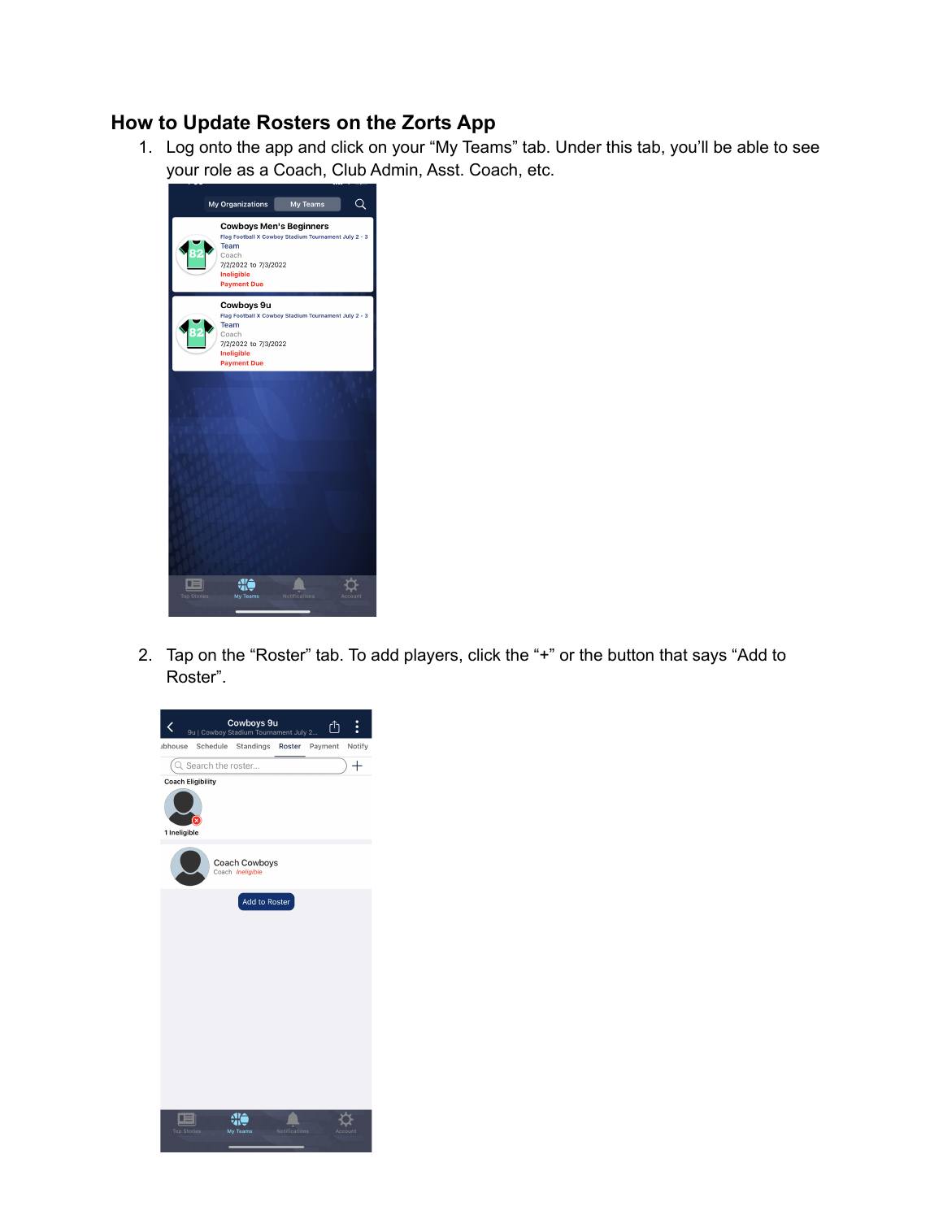## **How to Update Rosters on the Zorts App**

1. Log onto the app and click on your "My Teams" tab. Under this tab, you'll be able to see your role as a Coach, Club Admin, Asst. Coach, etc.



2. Tap on the "Roster" tab. To add players, click the "+" or the button that says "Add to Roster".

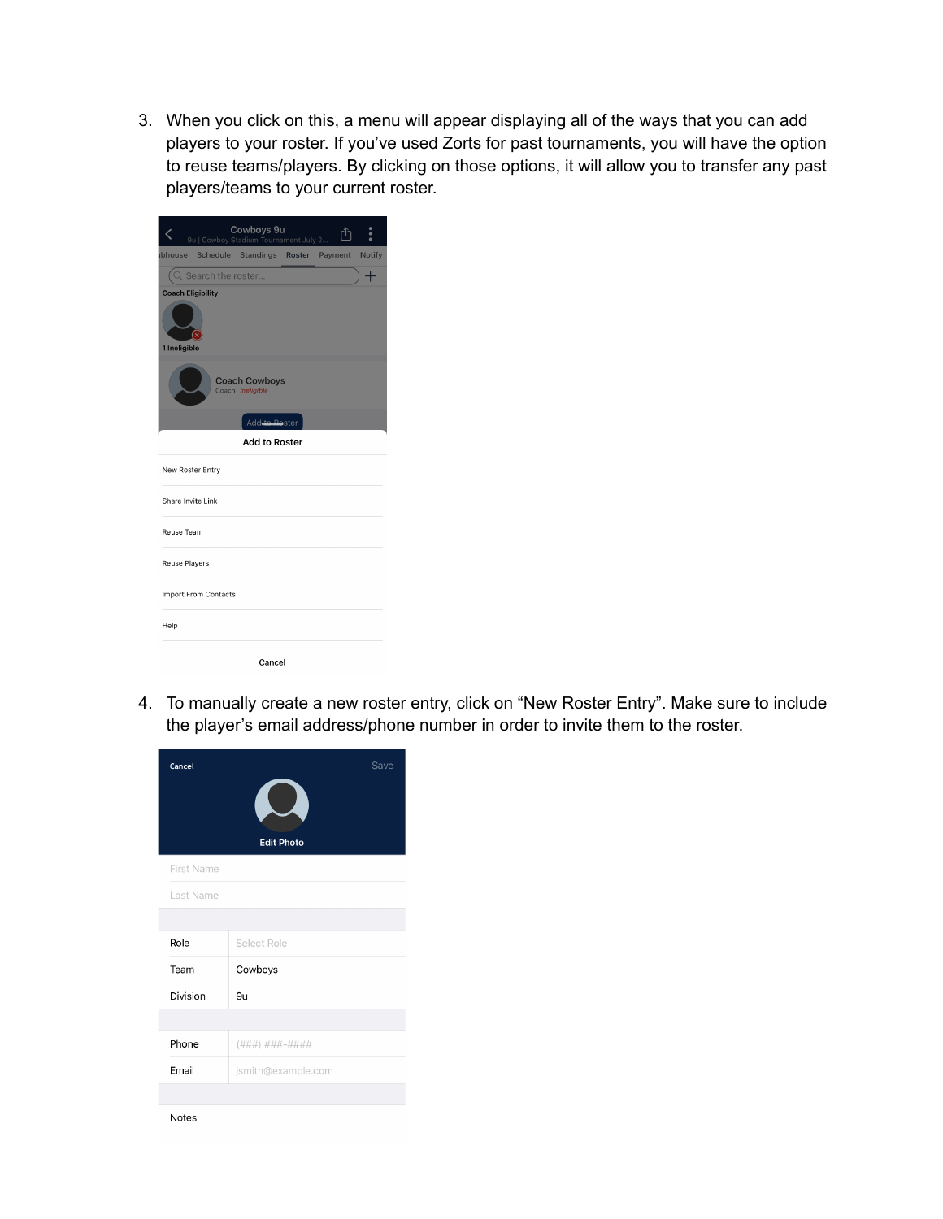3. When you click on this, a menu will appear displaying all of the ways that you can add players to your roster. If you've used Zorts for past tournaments, you will have the option to reuse teams/players. By clicking on those options, it will allow you to transfer any past players/teams to your current roster.

|                                          |                             | Cowboys 9u<br>9u   Cowboy Stadium Tournament July 2 |  | ۴ĥ | ö             |
|------------------------------------------|-----------------------------|-----------------------------------------------------|--|----|---------------|
| ubhouse                                  |                             | Schedule Standings Roster Payment                   |  |    | <b>Notify</b> |
|                                          | Q Search the roster         |                                                     |  |    |               |
| <b>Coach Eligibility</b><br>1 Ineligible |                             |                                                     |  |    |               |
|                                          |                             | <b>Coach Cowboys</b><br>Coach Ineligible            |  |    |               |
|                                          |                             | Add <del> to Ro</del> ster                          |  |    |               |
|                                          |                             | <b>Add to Roster</b>                                |  |    |               |
| New Roster Entry                         |                             |                                                     |  |    |               |
| Share Invite Link                        |                             |                                                     |  |    |               |
| Reuse Team                               |                             |                                                     |  |    |               |
| <b>Reuse Players</b>                     |                             |                                                     |  |    |               |
|                                          | <b>Import From Contacts</b> |                                                     |  |    |               |
| Help                                     |                             |                                                     |  |    |               |
|                                          |                             | Cancel                                              |  |    |               |

4. To manually create a new roster entry, click on "New Roster Entry". Make sure to include the player's email address/phone number in order to invite them to the roster.

| Cancel       | Save<br><b>Edit Photo</b> |  |  |  |  |
|--------------|---------------------------|--|--|--|--|
| First Name   |                           |  |  |  |  |
| Last Name    |                           |  |  |  |  |
|              |                           |  |  |  |  |
| Role         | Select Role               |  |  |  |  |
| Team         | Cowboys                   |  |  |  |  |
| Division     | 9u                        |  |  |  |  |
|              |                           |  |  |  |  |
| Phone        | (###) ###-####            |  |  |  |  |
| Email        | jsmith@example.com        |  |  |  |  |
|              |                           |  |  |  |  |
| <b>Notes</b> |                           |  |  |  |  |